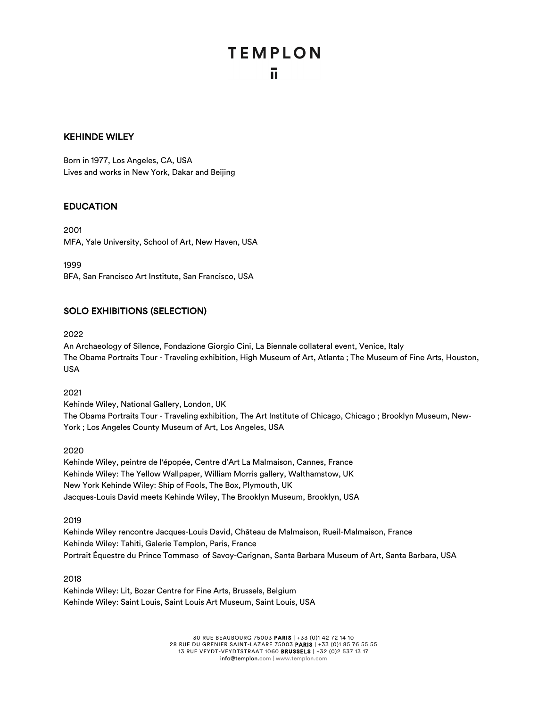### KEHINDE WILEY

Born in 1977, Los Angeles, CA, USA Lives and works in New York, Dakar and Beijing

### EDUCATION

2001 MFA, Yale University, School of Art, New Haven, USA

1999

BFA, San Francisco Art Institute, San Francisco, USA

## SOLO EXHIBITIONS (SELECTION)

2022

An Archaeology of Silence, Fondazione Giorgio Cini, La Biennale collateral event, Venice, Italy The Obama Portraits Tour - Traveling exhibition, High Museum of Art, Atlanta ; The Museum of Fine Arts, Houston, USA

2021

Kehinde Wiley, National Gallery, London, UK

The Obama Portraits Tour - Traveling exhibition, The Art Institute of Chicago, Chicago ; Brooklyn Museum, New-York ; Los Angeles County Museum of Art, Los Angeles, USA

2020

Kehinde Wiley, peintre de l'épopée, Centre d'Art La Malmaison, Cannes, France Kehinde Wiley: The Yellow Wallpaper, William Morris gallery, Walthamstow, UK New York Kehinde Wiley: Ship of Fools, The Box, Plymouth, UK Jacques-Louis David meets Kehinde Wiley, The Brooklyn Museum, Brooklyn, USA

2019

Kehinde Wiley rencontre Jacques-Louis David, Château de Malmaison, Rueil-Malmaison, France Kehinde Wiley: Tahiti, Galerie Templon, Paris, France Portrait Équestre du Prince Tommaso of Savoy-Carignan, Santa Barbara Museum of Art, Santa Barbara, USA

2018

Kehinde Wiley: Lit, Bozar Centre for Fine Arts, Brussels, Belgium Kehinde Wiley: Saint Louis, Saint Louis Art Museum, Saint Louis, USA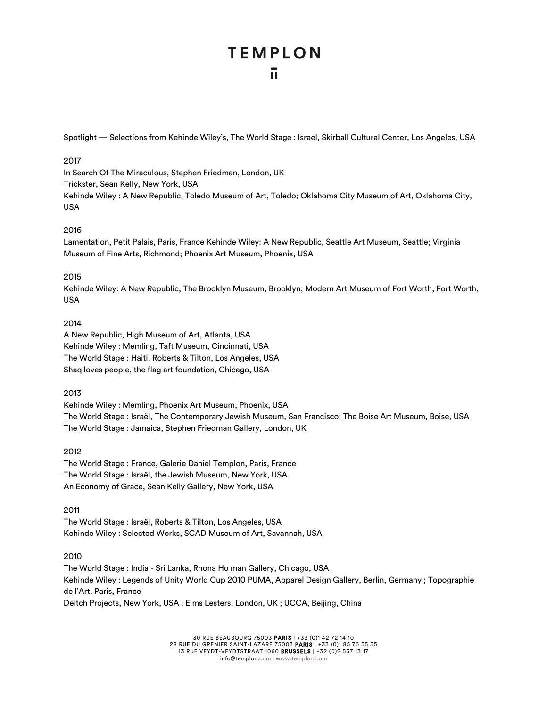Spotlight — Selections from Kehinde Wiley's, The World Stage : Israel, Skirball Cultural Center, Los Angeles, USA

#### 2017

In Search Of The Miraculous, Stephen Friedman, London, UK Trickster, Sean Kelly, New York, USA Kehinde Wiley : A New Republic, Toledo Museum of Art, Toledo; Oklahoma City Museum of Art, Oklahoma City, USA

### 2016

Lamentation, Petit Palais, Paris, France Kehinde Wiley: A New Republic, Seattle Art Museum, Seattle; Virginia Museum of Fine Arts, Richmond; Phoenix Art Museum, Phoenix, USA

### 2015

Kehinde Wiley: A New Republic, The Brooklyn Museum, Brooklyn; Modern Art Museum of Fort Worth, Fort Worth, USA

### 2014

A New Republic, High Museum of Art, Atlanta, USA Kehinde Wiley : Memling, Taft Museum, Cincinnati, USA The World Stage : Haiti, Roberts & Tilton, Los Angeles, USA Shaq loves people, the flag art foundation, Chicago, USA

#### 2013

Kehinde Wiley : Memling, Phoenix Art Museum, Phoenix, USA The World Stage : Israël, The Contemporary Jewish Museum, San Francisco; The Boise Art Museum, Boise, USA The World Stage : Jamaica, Stephen Friedman Gallery, London, UK

#### 2012

The World Stage : France, Galerie Daniel Templon, Paris, France The World Stage : Israël, the Jewish Museum, New York, USA An Economy of Grace, Sean Kelly Gallery, New York, USA

#### 2011

The World Stage : Israël, Roberts & Tilton, Los Angeles, USA Kehinde Wiley : Selected Works, SCAD Museum of Art, Savannah, USA

#### 2010

The World Stage : India - Sri Lanka, Rhona Ho man Gallery, Chicago, USA Kehinde Wiley : Legends of Unity World Cup 2010 PUMA, Apparel Design Gallery, Berlin, Germany ; Topographie de l'Art, Paris, France Deitch Projects, New York, USA ; Elms Lesters, London, UK ; UCCA, Beijing, China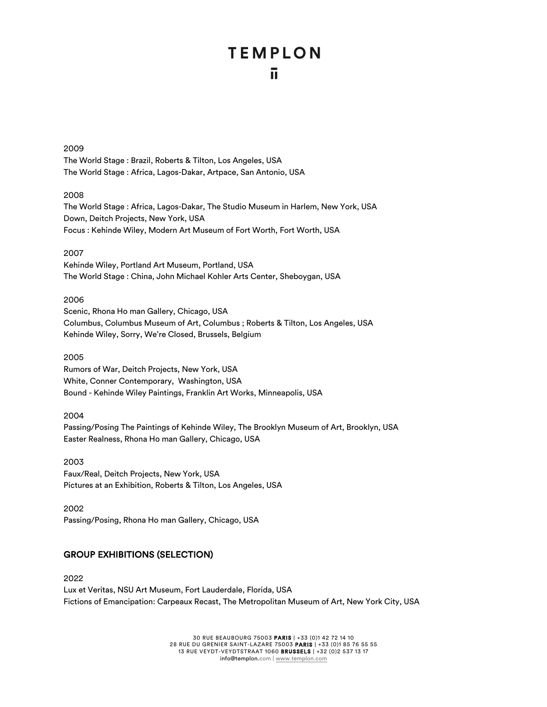#### 2009

The World Stage : Brazil, Roberts & Tilton, Los Angeles, USA The World Stage : Africa, Lagos-Dakar, Artpace, San Antonio, USA

#### 2008

The World Stage : Africa, Lagos-Dakar, The Studio Museum in Harlem, New York, USA Down, Deitch Projects, New York, USA Focus : Kehinde Wiley, Modern Art Museum of Fort Worth, Fort Worth, USA

#### 2007

Kehinde Wiley, Portland Art Museum, Portland, USA The World Stage : China, John Michael Kohler Arts Center, Sheboygan, USA

#### 2006

Scenic, Rhona Ho man Gallery, Chicago, USA Columbus, Columbus Museum of Art, Columbus ; Roberts & Tilton, Los Angeles, USA Kehinde Wiley, Sorry, We're Closed, Brussels, Belgium

#### 2005

Rumors of War, Deitch Projects, New York, USA White, Conner Contemporary, Washington, USA Bound - Kehinde Wiley Paintings, Franklin Art Works, Minneapolis, USA

#### 2004

Passing/Posing The Paintings of Kehinde Wiley, The Brooklyn Museum of Art, Brooklyn, USA Easter Realness, Rhona Ho man Gallery, Chicago, USA

2003 Faux/Real, Deitch Projects, New York, USA Pictures at an Exhibition, Roberts & Tilton, Los Angeles, USA

2002 Passing/Posing, Rhona Ho man Gallery, Chicago, USA

## GROUP EXHIBITIONS (SELECTION)

2022 Lux et Veritas, NSU Art Museum, Fort Lauderdale, Florida, USA Fictions of Emancipation: Carpeaux Recast, The Metropolitan Museum of Art, New York City, USA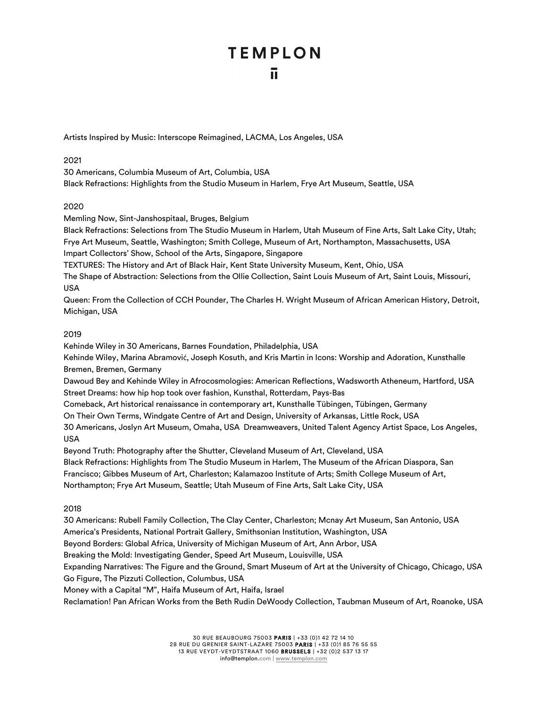# **TEMPLON** ū

Artists Inspired by Music: Interscope Reimagined, LACMA, Los Angeles, USA

2021

30 Americans, Columbia Museum of Art, Columbia, USA Black Refractions: Highlights from the Studio Museum in Harlem, Frye Art Museum, Seattle, USA

## 2020

Memling Now, Sint-Janshospitaal, Bruges, Belgium

Black Refractions: Selections from The Studio Museum in Harlem, Utah Museum of Fine Arts, Salt Lake City, Utah; Frye Art Museum, Seattle, Washington; Smith College, Museum of Art, Northampton, Massachusetts, USA Impart Collectors' Show, School of the Arts, Singapore, Singapore

TEXTURES: The History and Art of Black Hair, Kent State University Museum, Kent, Ohio, USA

The Shape of Abstraction: Selections from the Ollie Collection, Saint Louis Museum of Art, Saint Louis, Missouri, USA

Queen: From the Collection of CCH Pounder, The Charles H. Wright Museum of African American History, Detroit, Michigan, USA

## 2019

Kehinde Wiley in 30 Americans, Barnes Foundation, Philadelphia, USA

Kehinde Wiley, Marina Abramović, Joseph Kosuth, and Kris Martin in Icons: Worship and Adoration, Kunsthalle Bremen, Bremen, Germany

Dawoud Bey and Kehinde Wiley in Afrocosmologies: American Reflections, Wadsworth Atheneum, Hartford, USA Street Dreams: how hip hop took over fashion, Kunsthal, Rotterdam, Pays-Bas

Comeback, Art historical renaissance in contemporary art, Kunsthalle Tübingen, Tübingen, Germany

On Their Own Terms, Windgate Centre of Art and Design, University of Arkansas, Little Rock, USA

30 Americans, Joslyn Art Museum, Omaha, USA Dreamweavers, United Talent Agency Artist Space, Los Angeles, USA

Beyond Truth: Photography after the Shutter, Cleveland Museum of Art, Cleveland, USA Black Refractions: Highlights from The Studio Museum in Harlem, The Museum of the African Diaspora, San Francisco; Gibbes Museum of Art, Charleston; Kalamazoo Institute of Arts; Smith College Museum of Art, Northampton; Frye Art Museum, Seattle; Utah Museum of Fine Arts, Salt Lake City, USA

## 2018

30 Americans: Rubell Family Collection, The Clay Center, Charleston; Mcnay Art Museum, San Antonio, USA America's Presidents, National Portrait Gallery, Smithsonian Institution, Washington, USA Beyond Borders: Global Africa, University of Michigan Museum of Art, Ann Arbor, USA Breaking the Mold: Investigating Gender, Speed Art Museum, Louisville, USA Expanding Narratives: The Figure and the Ground, Smart Museum of Art at the University of Chicago, Chicago, USA Go Figure, The Pizzuti Collection, Columbus, USA Money with a Capital "M", Haifa Museum of Art, Haifa, Israel Reclamation! Pan African Works from the Beth Rudin DeWoody Collection, Taubman Museum of Art, Roanoke, USA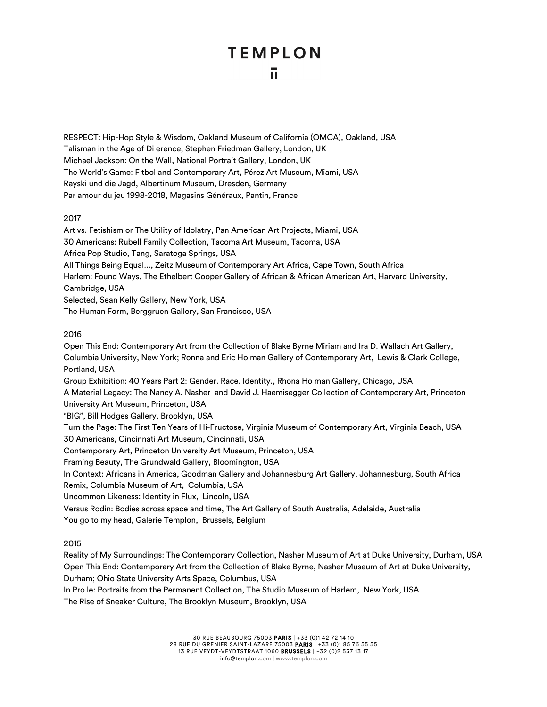# **TEMPLON** ū

RESPECT: Hip-Hop Style & Wisdom, Oakland Museum of California (OMCA), Oakland, USA Talisman in the Age of Di erence, Stephen Friedman Gallery, London, UK Michael Jackson: On the Wall, National Portrait Gallery, London, UK The World's Game: F tbol and Contemporary Art, Pérez Art Museum, Miami, USA Rayski und die Jagd, Albertinum Museum, Dresden, Germany Par amour du jeu 1998-2018, Magasins Généraux, Pantin, France

### 2017

Art vs. Fetishism or The Utility of Idolatry, Pan American Art Projects, Miami, USA 30 Americans: Rubell Family Collection, Tacoma Art Museum, Tacoma, USA Africa Pop Studio, Tang, Saratoga Springs, USA All Things Being Equal..., Zeitz Museum of Contemporary Art Africa, Cape Town, South Africa Harlem: Found Ways, The Ethelbert Cooper Gallery of African & African American Art, Harvard University, Cambridge, USA Selected, Sean Kelly Gallery, New York, USA The Human Form, Berggruen Gallery, San Francisco, USA

### 2016

Open This End: Contemporary Art from the Collection of Blake Byrne Miriam and Ira D. Wallach Art Gallery, Columbia University, New York; Ronna and Eric Ho man Gallery of Contemporary Art, Lewis & Clark College, Portland, USA

Group Exhibition: 40 Years Part 2: Gender. Race. Identity., Rhona Ho man Gallery, Chicago, USA A Material Legacy: The Nancy A. Nasher and David J. Haemisegger Collection of Contemporary Art, Princeton University Art Museum, Princeton, USA

"BIG", Bill Hodges Gallery, Brooklyn, USA

Turn the Page: The First Ten Years of Hi-Fructose, Virginia Museum of Contemporary Art, Virginia Beach, USA 30 Americans, Cincinnati Art Museum, Cincinnati, USA

Contemporary Art, Princeton University Art Museum, Princeton, USA

Framing Beauty, The Grundwald Gallery, Bloomington, USA

In Context: Africans in America, Goodman Gallery and Johannesburg Art Gallery, Johannesburg, South Africa Remix, Columbia Museum of Art, Columbia, USA

Uncommon Likeness: Identity in Flux, Lincoln, USA

Versus Rodin: Bodies across space and time, The Art Gallery of South Australia, Adelaide, Australia You go to my head, Galerie Templon, Brussels, Belgium

## 2015

Reality of My Surroundings: The Contemporary Collection, Nasher Museum of Art at Duke University, Durham, USA Open This End: Contemporary Art from the Collection of Blake Byrne, Nasher Museum of Art at Duke University, Durham; Ohio State University Arts Space, Columbus, USA

In Pro le: Portraits from the Permanent Collection, The Studio Museum of Harlem, New York, USA

The Rise of Sneaker Culture, The Brooklyn Museum, Brooklyn, USA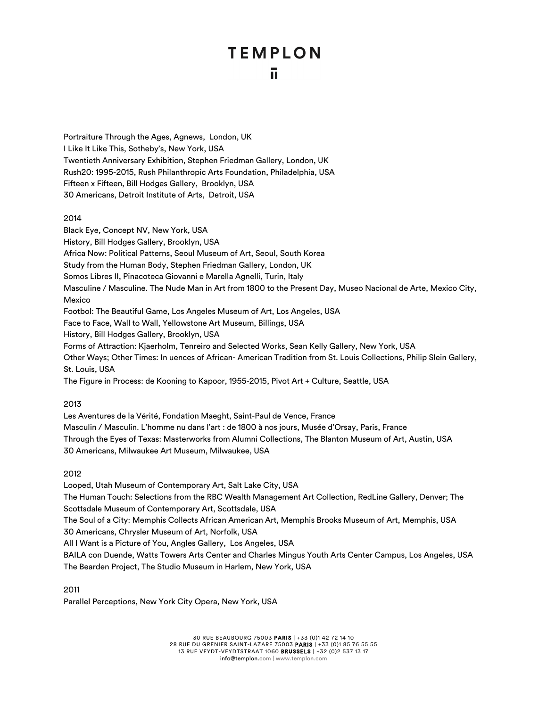# **TEMPLON** īī.

Portraiture Through the Ages, Agnews, London, UK I Like It Like This, Sotheby's, New York, USA Twentieth Anniversary Exhibition, Stephen Friedman Gallery, London, UK Rush20: 1995-2015, Rush Philanthropic Arts Foundation, Philadelphia, USA Fifteen x Fifteen, Bill Hodges Gallery, Brooklyn, USA 30 Americans, Detroit Institute of Arts, Detroit, USA

#### 2014

Black Eye, Concept NV, New York, USA History, Bill Hodges Gallery, Brooklyn, USA Africa Now: Political Patterns, Seoul Museum of Art, Seoul, South Korea Study from the Human Body, Stephen Friedman Gallery, London, UK Somos Libres II, Pinacoteca Giovanni e Marella Agnelli, Turin, Italy Masculine / Masculine. The Nude Man in Art from 1800 to the Present Day, Museo Nacional de Arte, Mexico City, Mexico Footbol: The Beautiful Game, Los Angeles Museum of Art, Los Angeles, USA Face to Face, Wall to Wall, Yellowstone Art Museum, Billings, USA History, Bill Hodges Gallery, Brooklyn, USA Forms of Attraction: Kjaerholm, Tenreiro and Selected Works, Sean Kelly Gallery, New York, USA Other Ways; Other Times: In uences of African- American Tradition from St. Louis Collections, Philip Slein Gallery, St. Louis, USA The Figure in Process: de Kooning to Kapoor, 1955-2015, Pivot Art + Culture, Seattle, USA

#### 2013

Les Aventures de la Vérité, Fondation Maeght, Saint-Paul de Vence, France Masculin / Masculin. L'homme nu dans l'art : de 1800 à nos jours, Musée d'Orsay, Paris, France Through the Eyes of Texas: Masterworks from Alumni Collections, The Blanton Museum of Art, Austin, USA 30 Americans, Milwaukee Art Museum, Milwaukee, USA

2012

Looped, Utah Museum of Contemporary Art, Salt Lake City, USA The Human Touch: Selections from the RBC Wealth Management Art Collection, RedLine Gallery, Denver; The Scottsdale Museum of Contemporary Art, Scottsdale, USA The Soul of a City: Memphis Collects African American Art, Memphis Brooks Museum of Art, Memphis, USA 30 Americans, Chrysler Museum of Art, Norfolk, USA All I Want is a Picture of You, Angles Gallery, Los Angeles, USA BAILA con Duende, Watts Towers Arts Center and Charles Mingus Youth Arts Center Campus, Los Angeles, USA The Bearden Project, The Studio Museum in Harlem, New York, USA

2011

Parallel Perceptions, New York City Opera, New York, USA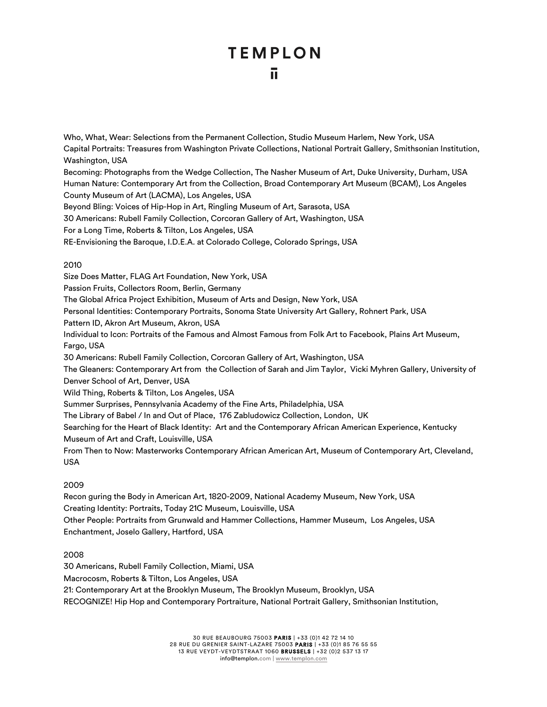# **TEMPLON** īī.

Who, What, Wear: Selections from the Permanent Collection, Studio Museum Harlem, New York, USA Capital Portraits: Treasures from Washington Private Collections, National Portrait Gallery, Smithsonian Institution, Washington, USA

Becoming: Photographs from the Wedge Collection, The Nasher Museum of Art, Duke University, Durham, USA Human Nature: Contemporary Art from the Collection, Broad Contemporary Art Museum (BCAM), Los Angeles County Museum of Art (LACMA), Los Angeles, USA

Beyond Bling: Voices of Hip-Hop in Art, Ringling Museum of Art, Sarasota, USA

30 Americans: Rubell Family Collection, Corcoran Gallery of Art, Washington, USA

For a Long Time, Roberts & Tilton, Los Angeles, USA

RE-Envisioning the Baroque, I.D.E.A. at Colorado College, Colorado Springs, USA

### 2010

Size Does Matter, FLAG Art Foundation, New York, USA Passion Fruits, Collectors Room, Berlin, Germany The Global Africa Project Exhibition, Museum of Arts and Design, New York, USA Personal Identities: Contemporary Portraits, Sonoma State University Art Gallery, Rohnert Park, USA Pattern ID, Akron Art Museum, Akron, USA Individual to Icon: Portraits of the Famous and Almost Famous from Folk Art to Facebook, Plains Art Museum, Fargo, USA 30 Americans: Rubell Family Collection, Corcoran Gallery of Art, Washington, USA The Gleaners: Contemporary Art from the Collection of Sarah and Jim Taylor, Vicki Myhren Gallery, University of Denver School of Art, Denver, USA Wild Thing, Roberts & Tilton, Los Angeles, USA Summer Surprises, Pennsylvania Academy of the Fine Arts, Philadelphia, USA The Library of Babel / In and Out of Place, 176 Zabludowicz Collection, London, UK Searching for the Heart of Black Identity: Art and the Contemporary African American Experience, Kentucky Museum of Art and Craft, Louisville, USA From Then to Now: Masterworks Contemporary African American Art, Museum of Contemporary Art, Cleveland, USA

## 2009

Recon guring the Body in American Art, 1820-2009, National Academy Museum, New York, USA Creating Identity: Portraits, Today 21C Museum, Louisville, USA Other People: Portraits from Grunwald and Hammer Collections, Hammer Museum, Los Angeles, USA Enchantment, Joselo Gallery, Hartford, USA

## 2008

30 Americans, Rubell Family Collection, Miami, USA Macrocosm, Roberts & Tilton, Los Angeles, USA 21: Contemporary Art at the Brooklyn Museum, The Brooklyn Museum, Brooklyn, USA RECOGNIZE! Hip Hop and Contemporary Portraiture, National Portrait Gallery, Smithsonian Institution,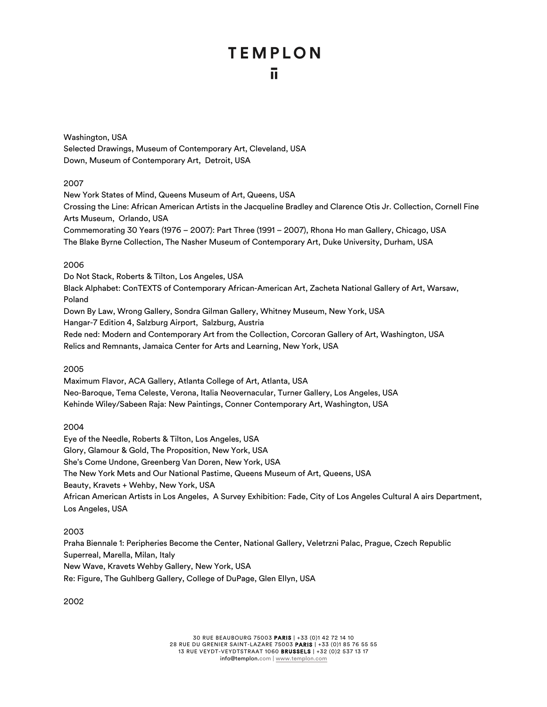# **TEMPLON** īī.

Washington, USA Selected Drawings, Museum of Contemporary Art, Cleveland, USA Down, Museum of Contemporary Art, Detroit, USA

### 2007

New York States of Mind, Queens Museum of Art, Queens, USA Crossing the Line: African American Artists in the Jacqueline Bradley and Clarence Otis Jr. Collection, Cornell Fine Arts Museum, Orlando, USA Commemorating 30 Years (1976 – 2007): Part Three (1991 – 2007), Rhona Ho man Gallery, Chicago, USA The Blake Byrne Collection, The Nasher Museum of Contemporary Art, Duke University, Durham, USA

### 2006

Do Not Stack, Roberts & Tilton, Los Angeles, USA Black Alphabet: ConTEXTS of Contemporary African-American Art, Zacheta National Gallery of Art, Warsaw, Poland Down By Law, Wrong Gallery, Sondra Gilman Gallery, Whitney Museum, New York, USA Hangar-7 Edition 4, Salzburg Airport, Salzburg, Austria Rede ned: Modern and Contemporary Art from the Collection, Corcoran Gallery of Art, Washington, USA Relics and Remnants, Jamaica Center for Arts and Learning, New York, USA

#### 2005

Maximum Flavor, ACA Gallery, Atlanta College of Art, Atlanta, USA Neo-Baroque, Tema Celeste, Verona, Italia Neovernacular, Turner Gallery, Los Angeles, USA Kehinde Wiley/Sabeen Raja: New Paintings, Conner Contemporary Art, Washington, USA

## 2004

Eye of the Needle, Roberts & Tilton, Los Angeles, USA Glory, Glamour & Gold, The Proposition, New York, USA She's Come Undone, Greenberg Van Doren, New York, USA The New York Mets and Our National Pastime, Queens Museum of Art, Queens, USA Beauty, Kravets + Wehby, New York, USA African American Artists in Los Angeles, A Survey Exhibition: Fade, City of Los Angeles Cultural A airs Department, Los Angeles, USA

## 2003

Praha Biennale 1: Peripheries Become the Center, National Gallery, Veletrzni Palac, Prague, Czech Republic Superreal, Marella, Milan, Italy New Wave, Kravets Wehby Gallery, New York, USA Re: Figure, The Guhlberg Gallery, College of DuPage, Glen Ellyn, USA

2002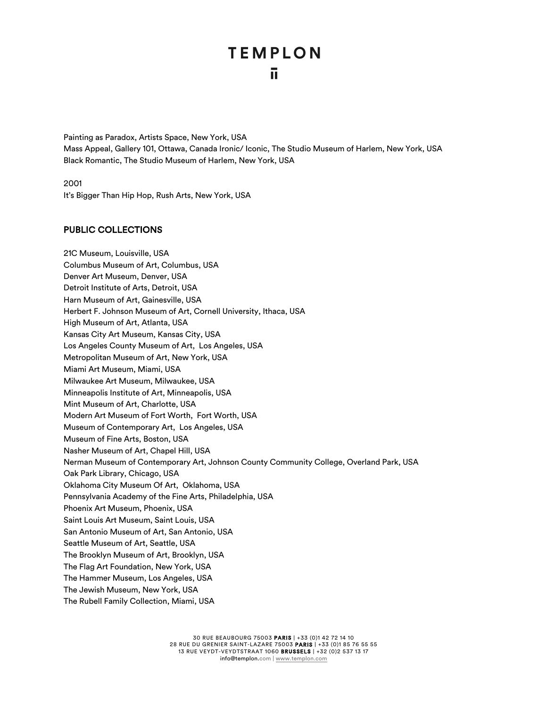Painting as Paradox, Artists Space, New York, USA Mass Appeal, Gallery 101, Ottawa, Canada Ironic/ Iconic, The Studio Museum of Harlem, New York, USA Black Romantic, The Studio Museum of Harlem, New York, USA

2001

It's Bigger Than Hip Hop, Rush Arts, New York, USA

#### PUBLIC COLLECTIONS

21C Museum, Louisville, USA Columbus Museum of Art, Columbus, USA Denver Art Museum, Denver, USA Detroit Institute of Arts, Detroit, USA Harn Museum of Art, Gainesville, USA Herbert F. Johnson Museum of Art, Cornell University, Ithaca, USA High Museum of Art, Atlanta, USA Kansas City Art Museum, Kansas City, USA Los Angeles County Museum of Art, Los Angeles, USA Metropolitan Museum of Art, New York, USA Miami Art Museum, Miami, USA Milwaukee Art Museum, Milwaukee, USA Minneapolis Institute of Art, Minneapolis, USA Mint Museum of Art, Charlotte, USA Modern Art Museum of Fort Worth, Fort Worth, USA Museum of Contemporary Art, Los Angeles, USA Museum of Fine Arts, Boston, USA Nasher Museum of Art, Chapel Hill, USA Nerman Museum of Contemporary Art, Johnson County Community College, Overland Park, USA Oak Park Library, Chicago, USA Oklahoma City Museum Of Art, Oklahoma, USA Pennsylvania Academy of the Fine Arts, Philadelphia, USA Phoenix Art Museum, Phoenix, USA Saint Louis Art Museum, Saint Louis, USA San Antonio Museum of Art, San Antonio, USA Seattle Museum of Art, Seattle, USA The Brooklyn Museum of Art, Brooklyn, USA The Flag Art Foundation, New York, USA The Hammer Museum, Los Angeles, USA The Jewish Museum, New York, USA The Rubell Family Collection, Miami, USA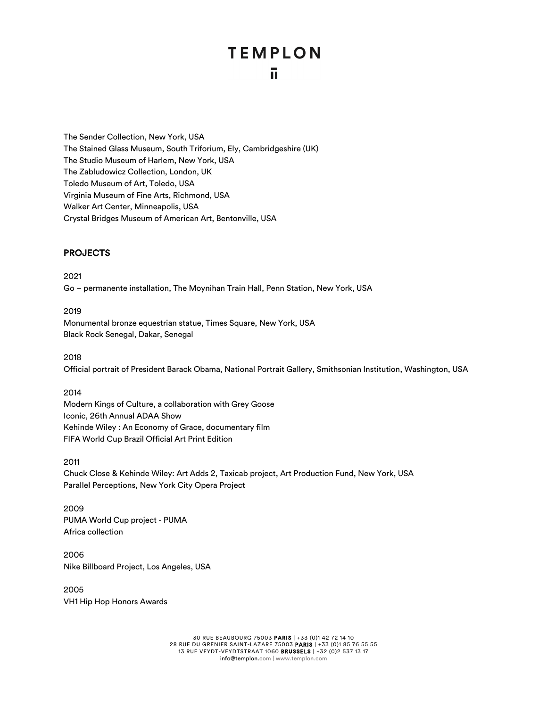The Sender Collection, New York, USA The Stained Glass Museum, South Triforium, Ely, Cambridgeshire (UK) The Studio Museum of Harlem, New York, USA The Zabludowicz Collection, London, UK Toledo Museum of Art, Toledo, USA Virginia Museum of Fine Arts, Richmond, USA Walker Art Center, Minneapolis, USA Crystal Bridges Museum of American Art, Bentonville, USA

## PROJECTS

2021

Go – permanente installation, The Moynihan Train Hall, Penn Station, New York, USA

2019

Monumental bronze equestrian statue, Times Square, New York, USA Black Rock Senegal, Dakar, Senegal

2018

Official portrait of President Barack Obama, National Portrait Gallery, Smithsonian Institution, Washington, USA

2014

Modern Kings of Culture, a collaboration with Grey Goose Iconic, 26th Annual ADAA Show Kehinde Wiley : An Economy of Grace, documentary film FIFA World Cup Brazil Official Art Print Edition

2011 Chuck Close & Kehinde Wiley: Art Adds 2, Taxicab project, Art Production Fund, New York, USA Parallel Perceptions, New York City Opera Project

2009 PUMA World Cup project - PUMA Africa collection

2006 Nike Billboard Project, Los Angeles, USA

2005 VH1 Hip Hop Honors Awards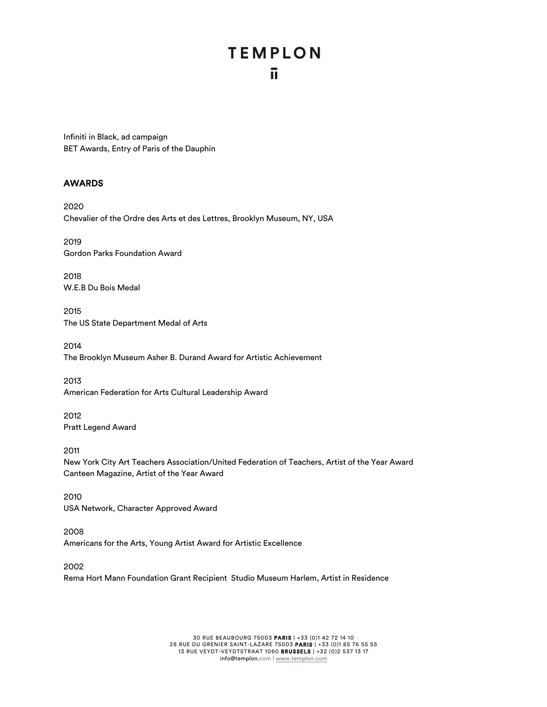# **TEMPLON** ū.

Infiniti in Black, ad campaign BET Awards, Entry of Paris of the Dauphin

## AWARDS

2020 Chevalier of the Ordre des Arts et des Lettres, Brooklyn Museum, NY, USA

2019 Gordon Parks Foundation Award

2018 W.E.B Du Bois Medal

2015 The US State Department Medal of Arts

2014 The Brooklyn Museum Asher B. Durand Award for Artistic Achievement

2013 American Federation for Arts Cultural Leadership Award

2012 Pratt Legend Award

2011 New York City Art Teachers Association/United Federation of Teachers, Artist of the Year Award Canteen Magazine, Artist of the Year Award

2010 USA Network, Character Approved Award

2008 Americans for the Arts, Young Artist Award for Artistic Excellence

2002 Rema Hort Mann Foundation Grant Recipient Studio Museum Harlem, Artist in Residence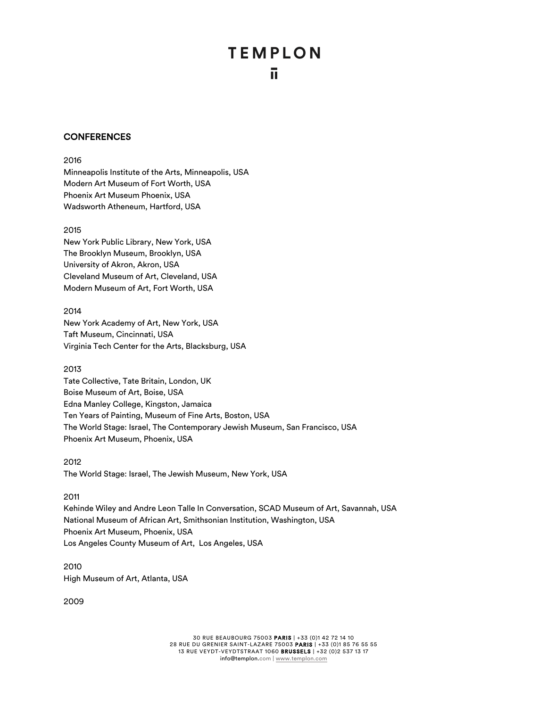### **CONFERENCES**

#### 2016

Minneapolis Institute of the Arts, Minneapolis, USA Modern Art Museum of Fort Worth, USA Phoenix Art Museum Phoenix, USA Wadsworth Atheneum, Hartford, USA

#### 2015

New York Public Library, New York, USA The Brooklyn Museum, Brooklyn, USA University of Akron, Akron, USA Cleveland Museum of Art, Cleveland, USA Modern Museum of Art, Fort Worth, USA

#### 2014

New York Academy of Art, New York, USA Taft Museum, Cincinnati, USA Virginia Tech Center for the Arts, Blacksburg, USA

#### 2013

Tate Collective, Tate Britain, London, UK Boise Museum of Art, Boise, USA Edna Manley College, Kingston, Jamaica Ten Years of Painting, Museum of Fine Arts, Boston, USA The World Stage: Israel, The Contemporary Jewish Museum, San Francisco, USA Phoenix Art Museum, Phoenix, USA

2012 The World Stage: Israel, The Jewish Museum, New York, USA

#### 2011

Kehinde Wiley and Andre Leon Talle In Conversation, SCAD Museum of Art, Savannah, USA National Museum of African Art, Smithsonian Institution, Washington, USA Phoenix Art Museum, Phoenix, USA Los Angeles County Museum of Art, Los Angeles, USA

2010 High Museum of Art, Atlanta, USA

2009